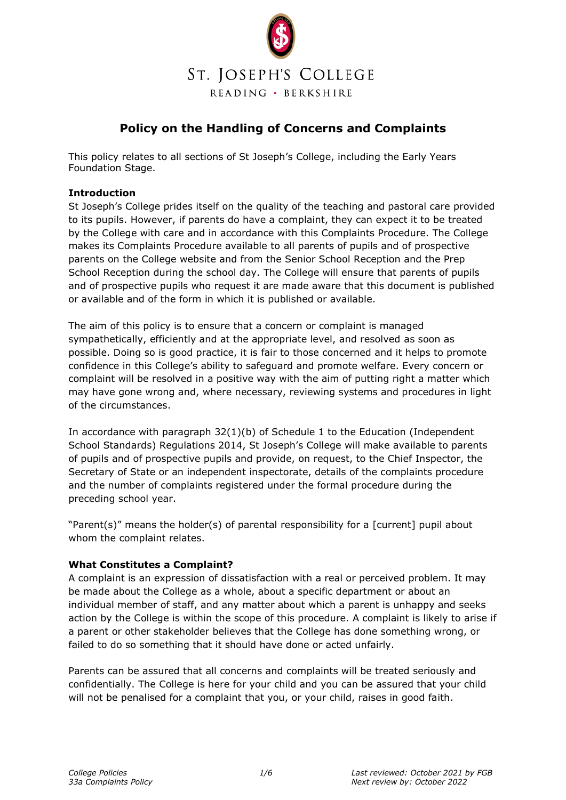

# **Policy on the Handling of Concerns and Complaints**

This policy relates to all sections of St Joseph's College, including the Early Years Foundation Stage.

## **Introduction**

St Joseph's College prides itself on the quality of the teaching and pastoral care provided to its pupils. However, if parents do have a complaint, they can expect it to be treated by the College with care and in accordance with this Complaints Procedure. The College makes its Complaints Procedure available to all parents of pupils and of prospective parents on the College website and from the Senior School Reception and the Prep School Reception during the school day. The College will ensure that parents of pupils and of prospective pupils who request it are made aware that this document is published or available and of the form in which it is published or available.

The aim of this policy is to ensure that a concern or complaint is managed sympathetically, efficiently and at the appropriate level, and resolved as soon as possible. Doing so is good practice, it is fair to those concerned and it helps to promote confidence in this College's ability to safeguard and promote welfare. Every concern or complaint will be resolved in a positive way with the aim of putting right a matter which may have gone wrong and, where necessary, reviewing systems and procedures in light of the circumstances.

In accordance with paragraph 32(1)(b) of Schedule 1 to the Education (Independent School Standards) Regulations 2014, St Joseph's College will make available to parents of pupils and of prospective pupils and provide, on request, to the Chief Inspector, the Secretary of State or an independent inspectorate, details of the complaints procedure and the number of complaints registered under the formal procedure during the preceding school year.

"Parent(s)" means the holder(s) of parental responsibility for a [current] pupil about whom the complaint relates.

## **What Constitutes a Complaint?**

A complaint is an expression of dissatisfaction with a real or perceived problem. It may be made about the College as a whole, about a specific department or about an individual member of staff, and any matter about which a parent is unhappy and seeks action by the College is within the scope of this procedure. A complaint is likely to arise if a parent or other stakeholder believes that the College has done something wrong, or failed to do so something that it should have done or acted unfairly.

Parents can be assured that all concerns and complaints will be treated seriously and confidentially. The College is here for your child and you can be assured that your child will not be penalised for a complaint that you, or your child, raises in good faith.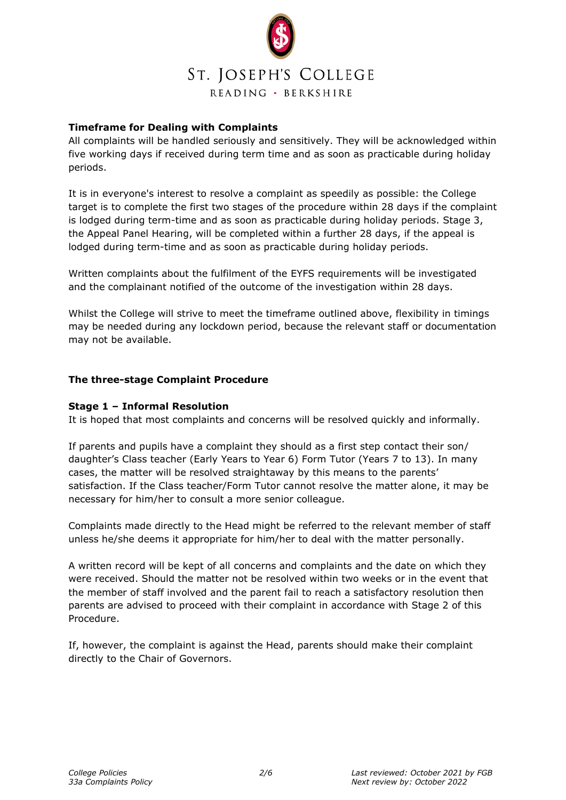

# **Timeframe for Dealing with Complaints**

All complaints will be handled seriously and sensitively. They will be acknowledged within five working days if received during term time and as soon as practicable during holiday periods.

It is in everyone's interest to resolve a complaint as speedily as possible: the College target is to complete the first two stages of the procedure within 28 days if the complaint is lodged during term-time and as soon as practicable during holiday periods. Stage 3, the Appeal Panel Hearing, will be completed within a further 28 days, if the appeal is lodged during term-time and as soon as practicable during holiday periods.

Written complaints about the fulfilment of the EYFS requirements will be investigated and the complainant notified of the outcome of the investigation within 28 days.

Whilst the College will strive to meet the timeframe outlined above, flexibility in timings may be needed during any lockdown period, because the relevant staff or documentation may not be available.

## **The three-stage Complaint Procedure**

#### **Stage 1 – Informal Resolution**

It is hoped that most complaints and concerns will be resolved quickly and informally.

If parents and pupils have a complaint they should as a first step contact their son/ daughter's Class teacher (Early Years to Year 6) Form Tutor (Years 7 to 13). In many cases, the matter will be resolved straightaway by this means to the parents' satisfaction. If the Class teacher/Form Tutor cannot resolve the matter alone, it may be necessary for him/her to consult a more senior colleague.

Complaints made directly to the Head might be referred to the relevant member of staff unless he/she deems it appropriate for him/her to deal with the matter personally.

A written record will be kept of all concerns and complaints and the date on which they were received. Should the matter not be resolved within two weeks or in the event that the member of staff involved and the parent fail to reach a satisfactory resolution then parents are advised to proceed with their complaint in accordance with Stage 2 of this Procedure.

If, however, the complaint is against the Head, parents should make their complaint directly to the Chair of Governors.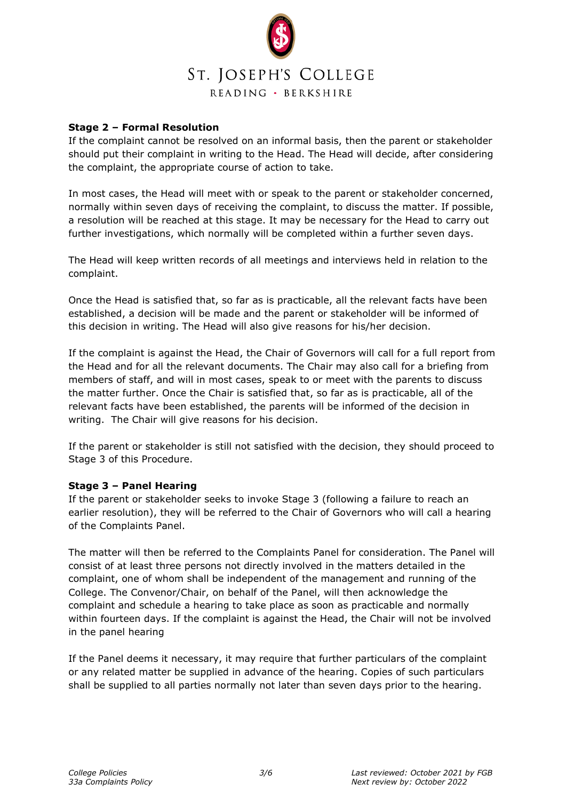

## **Stage 2 – Formal Resolution**

If the complaint cannot be resolved on an informal basis, then the parent or stakeholder should put their complaint in writing to the Head. The Head will decide, after considering the complaint, the appropriate course of action to take.

In most cases, the Head will meet with or speak to the parent or stakeholder concerned, normally within seven days of receiving the complaint, to discuss the matter. If possible, a resolution will be reached at this stage. It may be necessary for the Head to carry out further investigations, which normally will be completed within a further seven days.

The Head will keep written records of all meetings and interviews held in relation to the complaint.

Once the Head is satisfied that, so far as is practicable, all the relevant facts have been established, a decision will be made and the parent or stakeholder will be informed of this decision in writing. The Head will also give reasons for his/her decision.

If the complaint is against the Head, the Chair of Governors will call for a full report from the Head and for all the relevant documents. The Chair may also call for a briefing from members of staff, and will in most cases, speak to or meet with the parents to discuss the matter further. Once the Chair is satisfied that, so far as is practicable, all of the relevant facts have been established, the parents will be informed of the decision in writing. The Chair will give reasons for his decision.

If the parent or stakeholder is still not satisfied with the decision, they should proceed to Stage 3 of this Procedure.

## **Stage 3 – Panel Hearing**

If the parent or stakeholder seeks to invoke Stage 3 (following a failure to reach an earlier resolution), they will be referred to the Chair of Governors who will call a hearing of the Complaints Panel.

The matter will then be referred to the Complaints Panel for consideration. The Panel will consist of at least three persons not directly involved in the matters detailed in the complaint, one of whom shall be independent of the management and running of the College. The Convenor/Chair, on behalf of the Panel, will then acknowledge the complaint and schedule a hearing to take place as soon as practicable and normally within fourteen days. If the complaint is against the Head, the Chair will not be involved in the panel hearing

If the Panel deems it necessary, it may require that further particulars of the complaint or any related matter be supplied in advance of the hearing. Copies of such particulars shall be supplied to all parties normally not later than seven days prior to the hearing.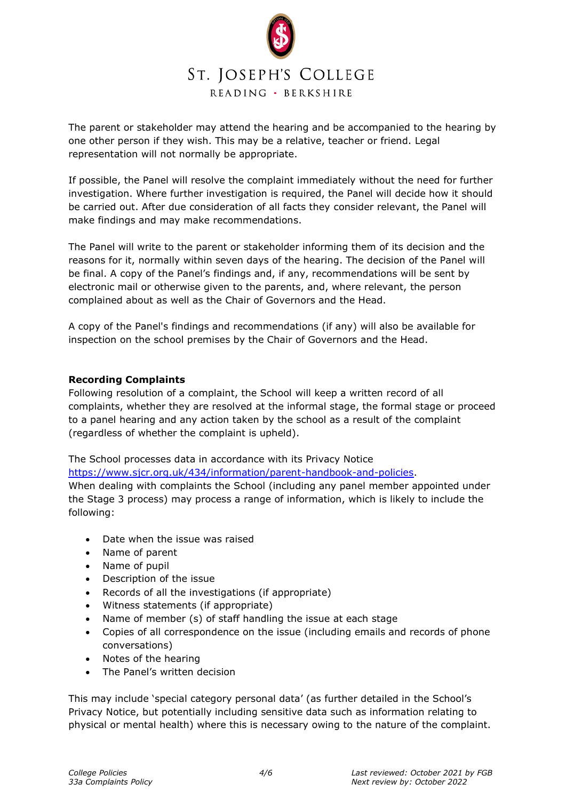

The parent or stakeholder may attend the hearing and be accompanied to the hearing by one other person if they wish. This may be a relative, teacher or friend. Legal representation will not normally be appropriate.

If possible, the Panel will resolve the complaint immediately without the need for further investigation. Where further investigation is required, the Panel will decide how it should be carried out. After due consideration of all facts they consider relevant, the Panel will make findings and may make recommendations.

The Panel will write to the parent or stakeholder informing them of its decision and the reasons for it, normally within seven days of the hearing. The decision of the Panel will be final. A copy of the Panel's findings and, if any, recommendations will be sent by electronic mail or otherwise given to the parents, and, where relevant, the person complained about as well as the Chair of Governors and the Head.

A copy of the Panel's findings and recommendations (if any) will also be available for inspection on the school premises by the Chair of Governors and the Head.

## **Recording Complaints**

Following resolution of a complaint, the School will keep a written record of all complaints, whether they are resolved at the informal stage, the formal stage or proceed to a panel hearing and any action taken by the school as a result of the complaint (regardless of whether the complaint is upheld).

The School processes data in accordance with its Privacy Notice

[https://www.sjcr.org.uk/434/information/parent-handbook-and-policies.](https://www.sjcr.org.uk/434/information/parent-handbook-and-policies)

When dealing with complaints the School (including any panel member appointed under the Stage 3 process) may process a range of information, which is likely to include the following:

- Date when the issue was raised
- Name of parent
- Name of pupil
- Description of the issue
- Records of all the investigations (if appropriate)
- Witness statements (if appropriate)
- Name of member (s) of staff handling the issue at each stage
- Copies of all correspondence on the issue (including emails and records of phone conversations)
- Notes of the hearing
- The Panel's written decision

This may include 'special category personal data' (as further detailed in the School's Privacy Notice, but potentially including sensitive data such as information relating to physical or mental health) where this is necessary owing to the nature of the complaint.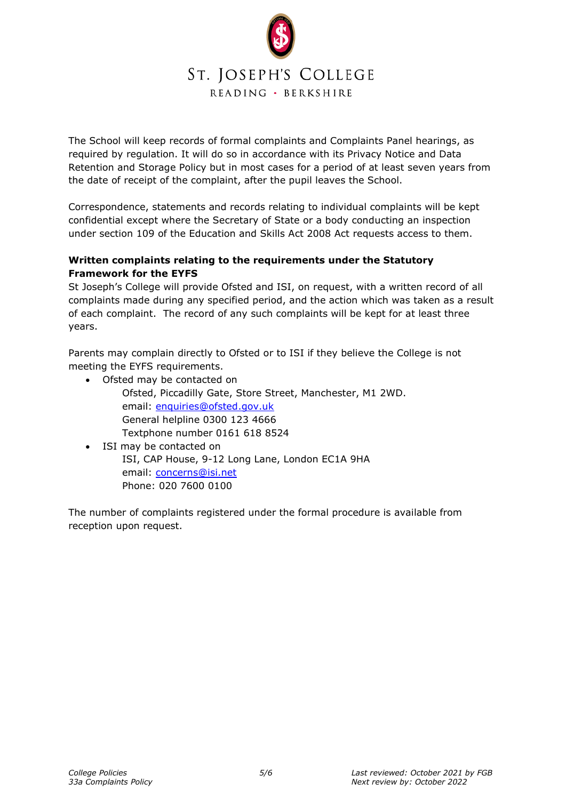

The School will keep records of formal complaints and Complaints Panel hearings, as required by regulation. It will do so in accordance with its Privacy Notice and Data Retention and Storage Policy but in most cases for a period of at least seven years from the date of receipt of the complaint, after the pupil leaves the School.

Correspondence, statements and records relating to individual complaints will be kept confidential except where the Secretary of State or a body conducting an inspection under section 109 of the Education and Skills Act 2008 Act requests access to them.

# **Written complaints relating to the requirements under the Statutory Framework for the EYFS**

St Joseph's College will provide Ofsted and ISI, on request, with a written record of all complaints made during any specified period, and the action which was taken as a result of each complaint. The record of any such complaints will be kept for at least three years.

Parents may complain directly to Ofsted or to ISI if they believe the College is not meeting the EYFS requirements.

- Ofsted may be contacted on Ofsted, Piccadilly Gate, Store Street, Manchester, M1 2WD. email: [enquiries@ofsted.gov.uk](mailto:enquiries@ofsted.gov.uk) General helpline 0300 123 4666 Textphone number 0161 618 8524
- ISI may be contacted on ISI, CAP House, 9-12 Long Lane, London EC1A 9HA email: [concerns@isi.net](mailto:concerns@isi.net) Phone: 020 7600 0100

The number of complaints registered under the formal procedure is available from reception upon request.